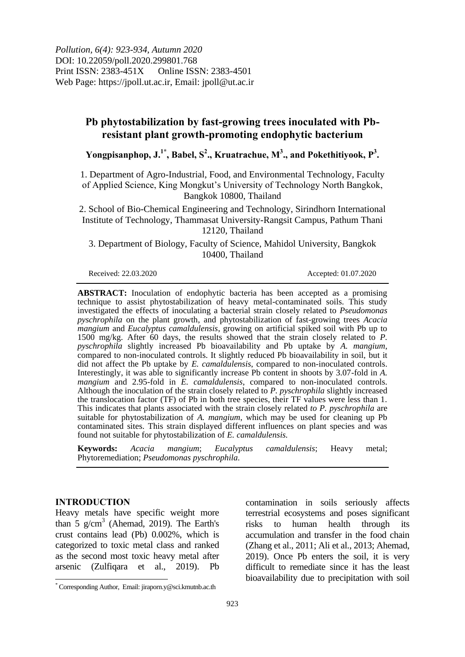*Pollution, 6(4): 923-934, Autumn 2020* DOI: 10.22059/poll.2020.299801.768 Print ISSN: 2383-451X Online ISSN: 2383-4501 Web Page: https://jpoll.ut.ac.ir, Email: jpoll@ut.ac.ir

# **Pb phytostabilization by fast-growing trees inoculated with Pbresistant plant growth-promoting endophytic bacterium**

**Yongpisanphop, J. 1\* , Babel, S 2 ., Kruatrachue, M<sup>3</sup> ., and Pokethitiyook, P<sup>3</sup> .**

1. Department of Agro-Industrial, Food, and Environmental Technology, Faculty of Applied Science, King Mongkut's University of Technology North Bangkok, Bangkok 10800, Thailand

2. School of Bio-Chemical Engineering and Technology, Sirindhorn International Institute of Technology, Thammasat University-Rangsit Campus, Pathum Thani 12120, Thailand

3. Department of Biology, Faculty of Science, Mahidol University, Bangkok 10400, Thailand

Received: 22.03.2020 Accepted: 01.07.2020

**ABSTRACT:** Inoculation of endophytic bacteria has been accepted as a promising technique to assist phytostabilization of heavy metal-contaminated soils. This study investigated the effects of inoculating a bacterial strain closely related to *Pseudomonas pyschrophila* on the plant growth, and phytostabilization of fast-growing trees *Acacia mangium* and *Eucalyptus camaldulensis*, growing on artificial spiked soil with Pb up to 1500 mg/kg. After 60 days, the results showed that the strain closely related to *P. pyschrophila* slightly increased Pb bioavailability and Pb uptake by *A. mangium*, compared to non-inoculated controls. It slightly reduced Pb bioavailability in soil, but it did not affect the Pb uptake by *E. camaldulensis*, compared to non-inoculated controls. Interestingly, it was able to significantly increase Pb content in shoots by 3.07-fold in *A. mangium* and 2.95-fold in *E. camaldulensis*, compared to non-inoculated controls. Although the inoculation of the strain closely related to *P. pyschrophila* slightly increased the translocation factor (TF) of Pb in both tree species, their TF values were less than 1. This indicates that plants associated with the strain closely related *to P. pyschrophila* are suitable for phytostabilization of *A. mangium*, which may be used for cleaning up Pb contaminated sites. This strain displayed different influences on plant species and was found not suitable for phytostabilization of *E. camaldulensis.*

**Keywords:** *Acacia mangium*; *Eucalyptus camaldulensis*; Heavy metal; Phytoremediation; *Pseudomonas pyschrophila.*

## **INTRODUCTION**

Heavy metals have specific weight more than  $5 \text{ g/cm}^3$  (Ahemad, 2019). The Earth's crust contains lead (Pb) 0.002%, which is categorized to toxic metal class and ranked as the second most toxic heavy metal after arsenic (Zulfiqara et al., 2019). Pb

contamination in soils seriously affects terrestrial ecosystems and poses significant risks to human health through its accumulation and transfer in the food chain (Zhang et al., 2011; Ali et al., 2013; Ahemad, 2019). Once Pb enters the soil, it is very difficult to remediate since it has the least bioavailability due to precipitation with soil

**<sup>.</sup>** \* Corresponding Author, Email: jiraporn.y@sci.kmutnb.ac.th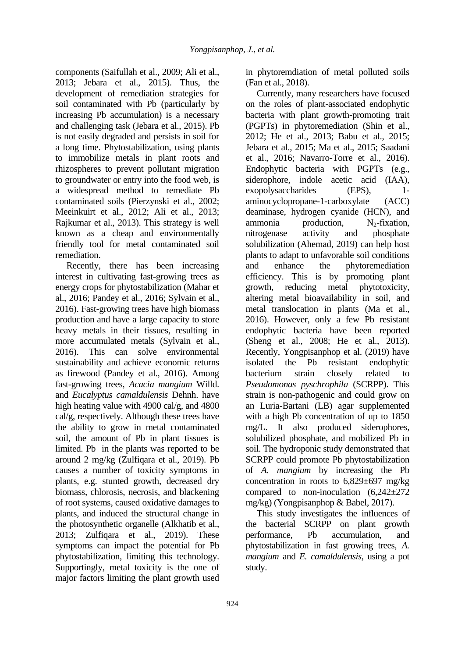components (Saifullah et al., 2009; Ali et al., 2013; Jebara et al., 2015). Thus, the development of remediation strategies for soil contaminated with Pb (particularly by increasing Pb accumulation) is a necessary and challenging task (Jebara et al., 2015). Pb is not easily degraded and persists in soil for a long time. Phytostabilization, using plants to immobilize metals in plant roots and rhizospheres to prevent pollutant migration to groundwater or entry into the food web, is a widespread method to remediate Pb contaminated soils (Pierzynski et al., 2002; Meeinkuirt et al., 2012; Ali et al., 2013; Rajkumar et al., 2013). This strategy is well known as a cheap and environmentally friendly tool for metal contaminated soil remediation.

Recently, there has been increasing interest in cultivating fast-growing trees as energy crops for phytostabilization (Mahar et al., 2016; Pandey et al., 2016; Sylvain et al., 2016). Fast-growing trees have high biomass production and have a large capacity to store heavy metals in their tissues, resulting in more accumulated metals (Sylvain et al., 2016). This can solve environmental sustainability and achieve economic returns as firewood (Pandey et al., 2016). Among fast-growing trees, *Acacia mangium* Willd. and *Eucalyptus camaldulensis* Dehnh. have high heating value with 4900 cal/g, and 4800 cal/g, respectively. Although these trees have the ability to grow in metal contaminated soil, the amount of Pb in plant tissues is limited. Pb in the plants was reported to be around 2 mg/kg (Zulfiqara et al., 2019). Pb causes a number of toxicity symptoms in plants, e.g. stunted growth, decreased dry biomass, chlorosis, necrosis, and blackening of root systems, caused oxidative damages to plants, and induced the structural change in the photosynthetic organelle (Alkhatib et al., 2013; Zulfiqara et al., 2019). These symptoms can impact the potential for Pb phytostabilization, limiting this technology. Supportingly, metal toxicity is the one of major factors limiting the plant growth used

924

in phytoremdiation of metal polluted soils (Fan et al., 2018).

Currently, many researchers have focused on the roles of plant-associated endophytic bacteria with plant growth-promoting trait (PGPTs) in phytoremediation (Shin et al., 2012; He et al., 2013; Babu et al., 2015; Jebara et al., 2015; Ma et al., 2015; Saadani et al., 2016; Navarro-Torre et al., 2016). Endophytic bacteria with PGPTs (e.g., siderophore, indole acetic acid (IAA), exopolysaccharides (EPS), 1aminocyclopropane-1-carboxylate (ACC) deaminase, hydrogen cyanide (HCN), and ammonia production,  $N_2$ -fixation, nitrogenase activity and phosphate solubilization (Ahemad, 2019) can help host plants to adapt to unfavorable soil conditions and enhance the phytoremediation efficiency. This is by promoting plant growth, reducing metal phytotoxicity, altering metal bioavailability in soil, and metal translocation in plants (Ma et al., 2016). However, only a few Pb resistant endophytic bacteria have been reported (Sheng et al., 2008; He et al., 2013). Recently, Yongpisanphop et al. (2019) have isolated the Pb resistant endophytic bacterium strain closely related to *Pseudomonas pyschrophila* (SCRPP). This strain is non-pathogenic and could grow on an Luria-Bartani (LB) agar supplemented with a high Pb concentration of up to 1850 mg/L. It also produced siderophores, solubilized phosphate, and mobilized Pb in soil. The hydroponic study demonstrated that SCRPP could promote Pb phytostabilization of *A. mangium* by increasing the Pb concentration in roots to  $6,829\pm697$  mg/kg compared to non-inoculation  $(6,242\pm 272)$ mg/kg) (Yongpisanphop & Babel, 2017).

This study investigates the influences of the bacterial SCRPP on plant growth performance, Pb accumulation, and phytostabilization in fast growing trees, *A. mangium* and *E. camaldulensis*, using a pot study.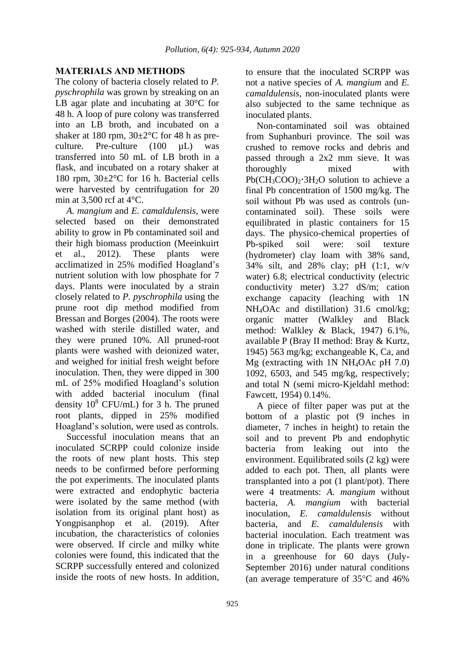# **MATERIALS AND METHODS**

The colony of bacteria closely related to *P. pyschrophila* was grown by streaking on an LB agar plate and incubating at 30°C for 48 h. A loop of pure colony was transferred into an LB broth, and incubated on a shaker at 180 rpm,  $30\pm2\degree$ C for 48 h as preculture. Pre-culture (100 µL) was transferred into 50 mL of LB broth in a flask, and incubated on a rotary shaker at 180 rpm, 30±2°C for 16 h. Bacterial cells were harvested by centrifugation for 20 min at 3,500 rcf at  $4^{\circ}$ C.

*A. mangium* and *E. camaldulensis*, were selected based on their demonstrated ability to grow in Pb contaminated soil and their high biomass production (Meeinkuirt et al., 2012). These plants were acclimatized in 25% modified Hoagland's nutrient solution with low phosphate for 7 days. Plants were inoculated by a strain closely related to *P. pyschrophila* using the prune root dip method modified from Bressan and Borges (2004). The roots were washed with sterile distilled water, and they were pruned 10%. All pruned-root plants were washed with deionized water, and weighed for initial fresh weight before inoculation. Then, they were dipped in 300 mL of 25% modified Hoagland's solution with added bacterial inoculum (final density  $10^8$  CFU/mL) for 3 h. The pruned root plants, dipped in 25% modified Hoagland's solution, were used as controls.

Successful inoculation means that an inoculated SCRPP could colonize inside the roots of new plant hosts. This step needs to be confirmed before performing the pot experiments. The inoculated plants were extracted and endophytic bacteria were isolated by the same method (with isolation from its original plant host) as Yongpisanphop et al. (2019). After incubation, the characteristics of colonies were observed. If circle and milky white colonies were found, this indicated that the SCRPP successfully entered and colonized inside the roots of new hosts. In addition,

to ensure that the inoculated SCRPP was not a native species of *A. mangium* and *E. camaldulensis*, non-inoculated plants were also subjected to the same technique as inoculated plants.

Non-contaminated soil was obtained from Suphanburi province. The soil was crushed to remove rocks and debris and passed through a 2x2 mm sieve. It was thoroughly mixed with  $Pb(CH_3COO)_2$ <sup>3H<sub>2</sub>O solution to achieve a</sup> final Pb concentration of 1500 mg/kg. The soil without Pb was used as controls (uncontaminated soil). These soils were equilibrated in plastic containers for 15 days. The physico-chemical properties of Pb-spiked soil were: soil texture (hydrometer) clay loam with 38% sand, 34% silt, and 28% clay; pH (1:1, w/v water) 6.8; electrical conductivity (electric conductivity meter) 3.27 dS/m; cation exchange capacity (leaching with 1N NH4OAc and distillation) 31.6 cmol/kg; organic matter (Walkley and Black method: Walkley & Black, 1947) 6.1%, available P (Bray II method: Bray & Kurtz, 1945) 563 mg/kg; exchangeable K, Ca, and Mg (extracting with 1N NH4OAc pH 7.0) 1092, 6503, and 545 mg/kg, respectively; and total N (semi micro-Kjeldahl method: Fawcett, 1954) 0.14%.

A piece of filter paper was put at the bottom of a plastic pot (9 inches in diameter, 7 inches in height) to retain the soil and to prevent Pb and endophytic bacteria from leaking out into the environment. Equilibrated soils (2 kg) were added to each pot. Then, all plants were transplanted into a pot (1 plant/pot). There were 4 treatments: *A. mangium* without bacteria, *A. mangium* with bacterial inoculation, *E. camaldulensis* without bacteria, and *E. camaldulensis* with bacterial inoculation. Each treatment was done in triplicate. The plants were grown in a greenhouse for 60 days (July-September 2016) under natural conditions (an average temperature of  $35^{\circ}$ C and  $46\%$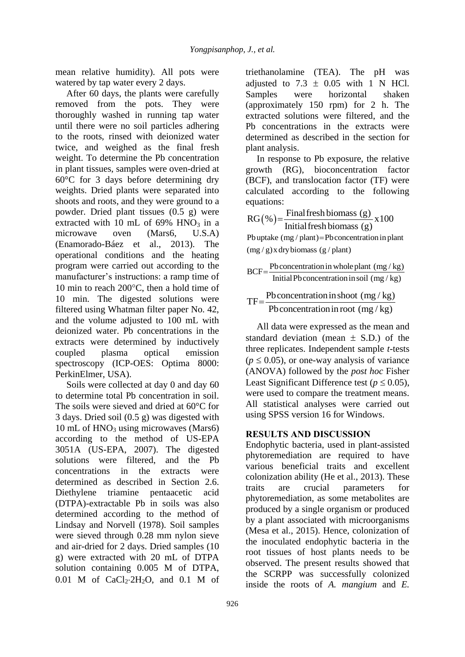mean relative humidity). All pots were watered by tap water every 2 days.

After 60 days, the plants were carefully removed from the pots. They were thoroughly washed in running tap water until there were no soil particles adhering to the roots, rinsed with deionized water twice, and weighed as the final fresh weight. To determine the Pb concentration in plant tissues, samples were oven-dried at 60°C for 3 days before determining dry weights. Dried plants were separated into shoots and roots, and they were ground to a powder. Dried plant tissues (0.5 g) were extracted with 10 mL of  $69\%$  HNO<sub>3</sub> in a microwave oven (Mars6, U.S.A) (Enamorado-Báez et al., 2013). The operational conditions and the heating program were carried out according to the manufacturer's instructions: a ramp time of 10 min to reach  $200^{\circ}$ C, then a hold time of 10 min. The digested solutions were filtered using Whatman filter paper No. 42, and the volume adjusted to 100 mL with deionized water. Pb concentrations in the extracts were determined by inductively coupled plasma optical emission spectroscopy (ICP-OES: Optima 8000: PerkinElmer, USA).

Soils were collected at day 0 and day 60 to determine total Pb concentration in soil. The soils were sieved and dried at 60°C for 3 days. Dried soil (0.5 g) was digested with 10 mL of  $HNO<sub>3</sub>$  using microwaves (Mars6) according to the method of US-EPA 3051A (US-EPA, 2007). The digested solutions were filtered, and the Pb concentrations in the extracts were determined as described in Section 2.6. Diethylene triamine pentaacetic acid (DTPA)-extractable Pb in soils was also determined according to the method of Lindsay and Norvell (1978). Soil samples were sieved through 0.28 mm nylon sieve and air-dried for 2 days. Dried samples (10 g) were extracted with 20 mL of DTPA solution containing 0.005 M of DTPA, 0.01 M of  $CaCl_2·2H_2O$ , and 0.1 M of triethanolamine (TEA). The pH was adjusted to  $7.3 \pm 0.05$  with 1 N HCl. Samples were horizontal shaken (approximately 150 rpm) for 2 h. The extracted solutions were filtered, and the Pb concentrations in the extracts were determined as described in the section for plant analysis.

In response to Pb exposure, the relative growth (RG), bioconcentration factor (BCF), and translocation factor (TF) were calculated according to the following equations:

$$
RG(\%) = \frac{\text{Final fresh biomass (g)}}{\text{Initial fresh biomass (g)}} \times 100
$$
  
Py update (mg / plant)=Pb concentration in plant

(mg / g) x dry biomass (g / plant)

 $(mg/g)x$  dry biomass (g/plant)<br>BCF =  $\frac{\text{Pb concentration in whole plant (mg/kg)}}{\text{Pb}}$ Pb concentration in whole plant  $\left(\frac{mg}{kg}\right)$ <br>Initial Pb concentration in soil  $\left(\frac{mg}{kg}\right)$  $=$ 

minal Poconcentration in shoot (mg/kg)<br>TF =  $\frac{\text{Pb concentration in shoot (mg/kg)}}{\text{N}}$  $=\frac{\text{Pb concentration in shoot (mg/kg)}}{\text{Pb concentration in root (mg/kg)}}$ 

All data were expressed as the mean and standard deviation (mean  $\pm$  S.D.) of the three replicates. Independent sample *t*-tests  $(p \le 0.05)$ , or one-way analysis of variance (ANOVA) followed by the *post hoc* Fisher Least Significant Difference test ( $p \le 0.05$ ), were used to compare the treatment means. All statistical analyses were carried out using SPSS version 16 for Windows.

# **RESULTS AND DISCUSSION**

Endophytic bacteria, used in plant-assisted phytoremediation are required to have various beneficial traits and excellent colonization ability (He et al., 2013). These traits are crucial parameters for phytoremediation, as some metabolites are produced by a single organism or produced by a plant associated with microorganisms (Mesa et al., 2015). Hence, colonization of the inoculated endophytic bacteria in the root tissues of host plants needs to be observed. The present results showed that the SCRPP was successfully colonized inside the roots of *A. mangium* and *E.*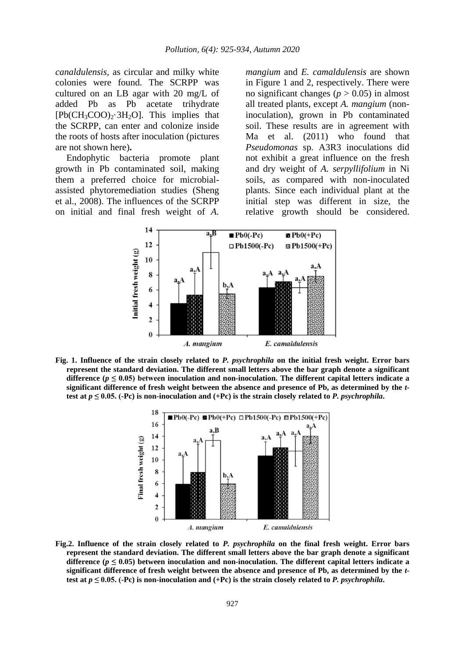*canaldulensis*, as circular and milky white colonies were found. The SCRPP was cultured on an LB agar with 20 mg/L of added Pb as Pb acetate trihydrate  $[Pb(CH_3COO)_2.3H_2O]$ . This implies that the SCRPP, can enter and colonize inside the roots of hosts after inoculation (pictures are not shown here)**.**

Endophytic bacteria promote plant growth in Pb contaminated soil, making them a preferred choice for microbialassisted phytoremediation studies (Sheng et al., 2008). The influences of the SCRPP on initial and final fresh weight of *A.* 

*mangium* and *E. camaldulensis* are shown in Figure 1 and 2, respectively. There were no significant changes ( $p > 0.05$ ) in almost all treated plants, except *A. mangium* (noninoculation), grown in Pb contaminated soil. These results are in agreement with Ma et al. (2011) who found that *Pseudomonas* sp. A3R3 inoculations did not exhibit a great influence on the fresh and dry weight of *A. serpyllifolium* in Ni soils, as compared with non-inoculated plants. Since each individual plant at the initial step was different in size, the relative growth should be considered.



**Fig. 1. Influence of the strain closely related to** *P. psychrophila* **on the initial fresh weight. Error bars represent the standard deviation. The different small letters above the bar graph denote a significant**  difference ( $p \le 0.05$ ) between inoculation and non-inoculation. The different capital letters indicate a **significant difference of fresh weight between the absence and presence of Pb, as determined by the** *t***test at** *p*  $\leq$  0.05. (-Pc) is non-inoculation and (+Pc) is the strain closely related to *P. psychrophila***.** 



**Fig.2. Influence of the strain closely related to** *P. psychrophila* **on the final fresh weight. Error bars represent the standard deviation. The different small letters above the bar graph denote a significant**  difference ( $p \le 0.05$ ) between inoculation and non-inoculation. The different capital letters indicate a **significant difference of fresh weight between the absence and presence of Pb, as determined by the** *t***test at** *p*  $\leq$  0.05. (-Pc) is non-inoculation and (+Pc) is the strain closely related to *P. psychrophila*.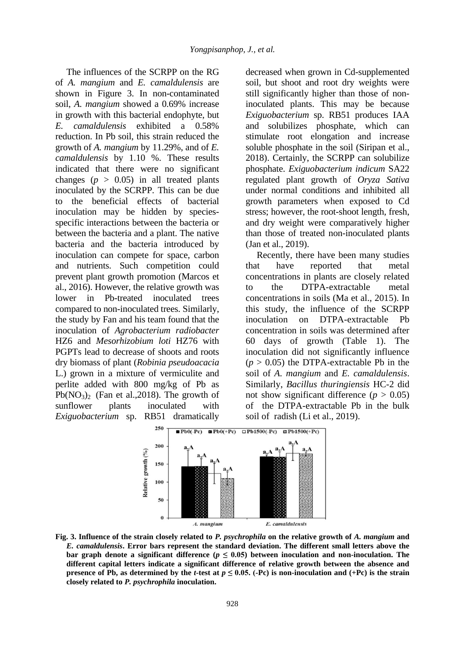The influences of the SCRPP on the RG of *A. mangium* and *E. camaldulensis* are shown in Figure 3. In non-contaminated soil, *A. mangium* showed a 0.69% increase in growth with this bacterial endophyte, but *E. camaldulensis* exhibited a 0.58% reduction. In Pb soil, this strain reduced the growth of *A. mangium* by 11.29%, and of *E. camaldulensis* by 1.10 %. These results indicated that there were no significant changes  $(p > 0.05)$  in all treated plants inoculated by the SCRPP. This can be due to the beneficial effects of bacterial inoculation may be hidden by speciesspecific interactions between the bacteria or between the bacteria and a plant. The native bacteria and the bacteria introduced by inoculation can compete for space, carbon and nutrients. Such competition could prevent plant growth promotion (Marcos et al., 2016). However, the relative growth was lower in Pb-treated inoculated trees compared to non-inoculated trees. Similarly, the study by Fan and his team found that the inoculation of *Agrobacterium radiobacter* HZ6 and *Mesorhizobium loti* HZ76 with PGPTs lead to decrease of shoots and roots dry biomass of plant (*Robinia pseudoacacia* L.) grown in a mixture of vermiculite and perlite added with 800 mg/kg of Pb as Pb( $NO<sub>3</sub>$ )<sub>2</sub> (Fan et al., 2018). The growth of sunflower plants inoculated with *Exiguobacterium* sp. RB51 dramatically

decreased when grown in Cd-supplemented soil, but shoot and root dry weights were still significantly higher than those of noninoculated plants. This may be because *Exiguobacterium* sp. RB51 produces IAA and solubilizes phosphate, which can stimulate root elongation and increase soluble phosphate in the soil (Siripan et al., 2018). Certainly, the SCRPP can solubilize phosphate. *Exiguobacterium indicum* SA22 regulated plant growth of *Oryza Sativa* under normal conditions and inhibited all growth parameters when exposed to Cd stress; however, the root-shoot length, fresh, and dry weight were comparatively higher than those of treated non-inoculated plants (Jan et al., 2019).

Recently, there have been many studies that have reported that metal concentrations in plants are closely related to the DTPA-extractable metal concentrations in soils (Ma et al., 2015). In this study, the influence of the SCRPP inoculation on DTPA-extractable Pb concentration in soils was determined after 60 days of growth (Table 1). The inoculation did not significantly influence  $(p > 0.05)$  the DTPA-extractable Pb in the soil of *A. mangium* and *E. camaldulensis*. Similarly, *Bacillus thuringiensis* HC-2 did not show significant difference ( $p > 0.05$ ) of the DTPA-extractable Pb in the bulk soil of radish (Li et al., 2019).



**Fig. 3. Influence of the strain closely related to** *P. psychrophila* **on the relative growth of** *A. mangium* **and**  *E. camaldulensis***. Error bars represent the standard deviation. The different small letters above the bar graph denote a significant difference (** $p \leq 0.05$ **) between inoculation and non-inoculation. The different capital letters indicate a significant difference of relative growth between the absence and presence of Pb, as determined by the** *t***-test at**  $p \le 0.05$ **. (-Pc) is non-inoculation and (+Pc) is the strain closely related to** *P. psychrophila* **inoculation.**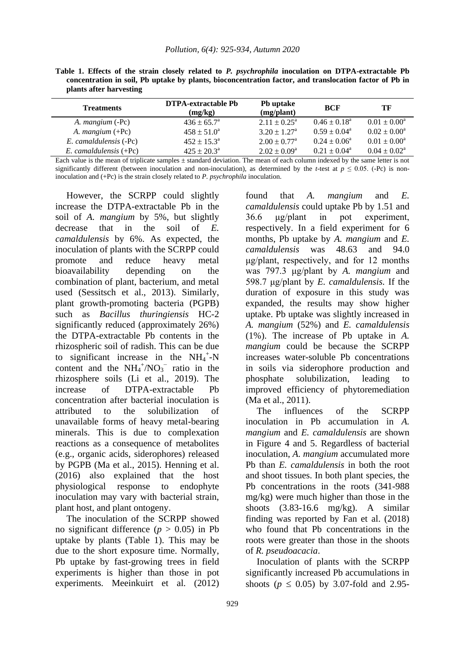|                         |  |  | Table 1. Effects of the strain closely related to P. psychrophila inoculation on DTPA-extractable Pb   |  |  |  |
|-------------------------|--|--|--------------------------------------------------------------------------------------------------------|--|--|--|
|                         |  |  | concentration in soil, Pb uptake by plants, bioconcentration factor, and translocation factor of Pb in |  |  |  |
| plants after harvesting |  |  |                                                                                                        |  |  |  |

| <b>Treatments</b>         | <b>DTPA-extractable Pb</b><br>(mg/kg) | <b>Pb</b> uptake<br>(mg/plant) | <b>BCF</b>              | TF                      |
|---------------------------|---------------------------------------|--------------------------------|-------------------------|-------------------------|
| A. <i>mangium</i> (-Pc)   | $436 \pm 65.7^{\circ}$                | $2.11 \pm 0.25^{\text{a}}$     | $0.46 \pm 0.18^{\rm a}$ | $0.01 \pm 0.00^a$       |
| A. <i>mangium</i> $(+Pc)$ | $458 \pm 51.0^a$                      | $3.20 \pm 1.27^{\text{a}}$     | $0.59 + 0.04^a$         | $0.02 \pm 0.00^a$       |
| E. camaldulensis (-Pc)    | $452 \pm 15.3^{\circ}$                | $2.00 \pm 0.77$ <sup>a</sup>   | $0.24 \pm 0.06^a$       | $0.01 \pm 0.00^a$       |
| E. camaldulensis $(+Pc)$  | $425 + 20.3^{\circ}$                  | $2.02 \pm 0.09^a$              | $0.21 \pm 0.04^{\circ}$ | $0.04 \pm 0.02^{\rm a}$ |

Each value is the mean of triplicate samples  $\pm$  standard deviation. The mean of each column indexed by the same letter is not significantly different (between inoculation and non-inoculation), as determined by the *t*-test at  $p \le 0.05$ . (-Pc) is noninoculation and (+Pc) is the strain closely related to *P. psychrophila* inoculation.

However, the SCRPP could slightly increase the DTPA-extractable Pb in the soil of *A. mangium* by 5%, but slightly decrease that in the soil of *E. camaldulensis* by 6%. As expected, the inoculation of plants with the SCRPP could promote and reduce heavy metal bioavailability depending on the combination of plant, bacterium, and metal used (Sessitsch et al., 2013). Similarly, plant growth-promoting bacteria (PGPB) such as *Bacillus thuringiensis* HC-2 significantly reduced (approximately 26%) the DTPA-extractable Pb contents in the rhizospheric soil of radish. This can be due to significant increase in the  $NH_4^+$ -N content and the  $NH_4^+/NO_3^-$  ratio in the rhizosphere soils (Li et al., 2019). The increase of DTPA-extractable Pb concentration after bacterial inoculation is attributed to the solubilization of unavailable forms of heavy metal-bearing minerals. This is due to complexation reactions as a consequence of metabolites (e.g., organic acids, siderophores) released by PGPB (Ma et al., 2015). Henning et al. (2016) also explained that the host physiological response to endophyte inoculation may vary with bacterial strain, plant host, and plant ontogeny.

The inoculation of the SCRPP showed no significant difference ( $p > 0.05$ ) in Pb uptake by plants (Table 1). This may be due to the short exposure time. Normally, Pb uptake by fast-growing trees in field experiments is higher than those in pot experiments. Meeinkuirt et al. (2012) found that *A. mangium* and *E. camaldulensis* could uptake Pb by 1.51 and 36.6 μg/plant in pot experiment, respectively. In a field experiment for 6 months, Pb uptake by *A. mangium* and *E. camaldulensis* was 48.63 and 94.0 μg/plant, respectively, and for 12 months was 797.3 μg/plant by *A. mangium* and 598.7 μg/plant by *E. camaldulensis.* If the duration of exposure in this study was expanded, the results may show higher uptake. Pb uptake was slightly increased in *A. mangium* (52%) and *E. camaldulensis*  (1%). The increase of Pb uptake in *A. mangium* could be because the SCRPP increases water-soluble Pb concentrations in soils via siderophore production and phosphate solubilization, leading to improved efficiency of phytoremediation (Ma et al., 2011).

The influences of the SCRPP inoculation in Pb accumulation in *A. mangium* and *E. camaldulensis* are shown in Figure 4 and 5. Regardless of bacterial inoculation, *A. mangium* accumulated more Pb than *E. camaldulensis* in both the root and shoot tissues. In both plant species, the Pb concentrations in the roots (341-988 mg/kg) were much higher than those in the shoots  $(3.83-16.6 \text{ mg/kg})$ . A similar finding was reported by Fan et al. (2018) who found that Pb concentrations in the roots were greater than those in the shoots of *R. pseudoacacia*.

Inoculation of plants with the SCRPP significantly increased Pb accumulations in shoots ( $p \le 0.05$ ) by 3.07-fold and 2.95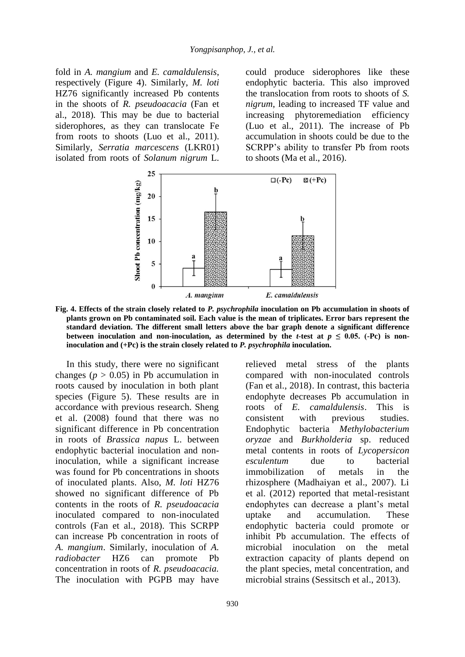fold in *A. mangium* and *E. camaldulensis*, respectively (Figure 4). Similarly, *M. loti* HZ76 significantly increased Pb contents in the shoots of *R. pseudoacacia* (Fan et al., 2018)*.* This may be due to bacterial siderophores, as they can translocate Fe from roots to shoots (Luo et al., 2011). Similarly, *Serratia marcescens* (LKR01) isolated from roots of *Solanum nigrum* L. could produce siderophores like these endophytic bacteria. This also improved the translocation from roots to shoots of *S. nigrum*, leading to increased TF value and increasing phytoremediation efficiency (Luo et al., 2011). The increase of Pb accumulation in shoots could be due to the SCRPP's ability to transfer Pb from roots to shoots (Ma et al., 2016).



**Fig. 4. Effects of the strain closely related to** *P. psychrophila* **inoculation on Pb accumulation in shoots of plants grown on Pb contaminated soil. Each value is the mean of triplicates. Error bars represent the standard deviation. The different small letters above the bar graph denote a significant difference between inoculation and non-inoculation, as determined by the** *t***-test at**  $p \le 0.05$ **. (-Pc) is noninoculation and (+Pc) is the strain closely related to** *P. psychrophila* **inoculation.** 

In this study, there were no significant changes ( $p > 0.05$ ) in Pb accumulation in roots caused by inoculation in both plant species (Figure 5). These results are in accordance with previous research. Sheng et al. (2008) found that there was no significant difference in Pb concentration in roots of *Brassica napus* L. between endophytic bacterial inoculation and noninoculation, while a significant increase was found for Pb concentrations in shoots of inoculated plants. Also, *M. loti* HZ76 showed no significant difference of Pb contents in the roots of *R. pseudoacacia*  inoculated compared to non-inoculated controls (Fan et al., 2018)*.* This SCRPP can increase Pb concentration in roots of *A. mangium*. Similarly, inoculation of *A. radiobacter* HZ6 can promote Pb concentration in roots of *R. pseudoacacia.*  The inoculation with PGPB may have

relieved metal stress of the plants compared with non-inoculated controls (Fan et al., 2018). In contrast, this bacteria endophyte decreases Pb accumulation in roots of *E. camaldulensis*. This is consistent with previous studies. Endophytic bacteria *Methylobacterium oryzae* and *Burkholderia* sp. reduced metal contents in roots of *Lycopersicon esculentum* due to bacterial immobilization of metals in the rhizosphere (Madhaiyan et al., 2007). Li et al. (2012) reported that metal-resistant endophytes can decrease a plant's metal uptake and accumulation. These endophytic bacteria could promote or inhibit Pb accumulation. The effects of microbial inoculation on the metal extraction capacity of plants depend on the plant species, metal concentration, and microbial strains (Sessitsch et al., 2013).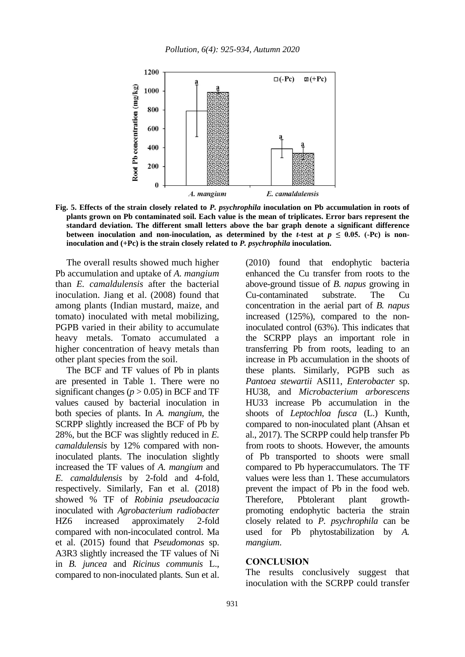

**Fig. 5. Effects of the strain closely related to** *P. psychrophila* **inoculation on Pb accumulation in roots of plants grown on Pb contaminated soil. Each value is the mean of triplicates. Error bars represent the standard deviation. The different small letters above the bar graph denote a significant difference**  between inoculation and non-inoculation, as determined by the *t*-test at  $p \le 0.05$ . (-Pc) is non**inoculation and (+Pc) is the strain closely related to** *P. psychrophila* **inoculation.**

The overall results showed much higher Pb accumulation and uptake of *A. mangium* than *E. camaldulensis* after the bacterial inoculation. Jiang et al. (2008) found that among plants (Indian mustard, maize, and tomato) inoculated with metal mobilizing, PGPB varied in their ability to accumulate heavy metals. Tomato accumulated a higher concentration of heavy metals than other plant species from the soil.

The BCF and TF values of Pb in plants are presented in Table 1. There were no significant changes ( $p > 0.05$ ) in BCF and TF values caused by bacterial inoculation in both species of plants. In *A. mangium*, the SCRPP slightly increased the BCF of Pb by 28%, but the BCF was slightly reduced in *E. camaldulensis* by 12% compared with noninoculated plants. The inoculation slightly increased the TF values of *A. mangium* and *E. camaldulensis* by 2-fold and 4-fold, respectively. Similarly, Fan et al. (2018) showed % TF of *Robinia pseudoacacia*  inoculated with *Agrobacterium radiobacter* HZ6 increased approximately 2-fold compared with non-incoculated control. Ma et al. (2015) found that *Pseudomonas* sp. A3R3 slightly increased the TF values of Ni in *B. juncea* and *Ricinus communis* L., compared to non-inoculated plants. Sun et al.

(2010) found that endophytic bacteria enhanced the Cu transfer from roots to the above-ground tissue of *B. napus* growing in Cu-contaminated substrate. The Cu concentration in the aerial part of *B. napus* increased (125%), compared to the noninoculated control (63%). This indicates that the SCRPP plays an important role in transferring Pb from roots, leading to an increase in Pb accumulation in the shoots of these plants. Similarly, PGPB such as *Pantoea stewartii* ASI11, *Enterobacter* sp. HU38, and *Microbacterium arborescens* HU33 increase Pb accumulation in the shoots of *Leptochloa fusca* (L.) Kunth, compared to non-inoculated plant (Ahsan et al., 2017). The SCRPP could help transfer Pb from roots to shoots. However, the amounts of Pb transported to shoots were small compared to Pb hyperaccumulators. The TF values were less than 1. These accumulators prevent the impact of Pb in the food web. Therefore, Pbtolerant plant growthpromoting endophytic bacteria the strain closely related to *P. psychrophila* can be used for Pb phytostabilization by *A. mangium*.

#### **CONCLUSION**

The results conclusively suggest that inoculation with the SCRPP could transfer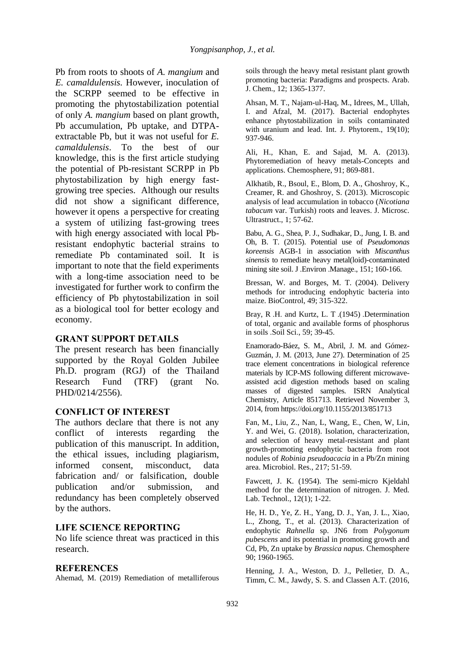Pb from roots to shoots of *A. mangium* and *E. camaldulensis.* However, inoculation of the SCRPP seemed to be effective in promoting the phytostabilization potential of only *A. mangium* based on plant growth, Pb accumulation, Pb uptake, and DTPAextractable Pb, but it was not useful for *E. camaldulensis*. To the best of our knowledge, this is the first article studying the potential of Pb-resistant SCRPP in Pb phytostabilization by high energy fastgrowing tree species. Although our results did not show a significant difference, however it opens a perspective for creating a system of utilizing fast-growing trees with high energy associated with local Pbresistant endophytic bacterial strains to remediate Pb contaminated soil. It is important to note that the field experiments with a long-time association need to be investigated for further work to confirm the efficiency of Pb phytostabilization in soil as a biological tool for better ecology and economy.

### **GRANT SUPPORT DETAILS**

The present research has been financially supported by the Royal Golden Jubilee Ph.D. program (RGJ) of the Thailand Research Fund (TRF) (grant No. PHD/0214/2556).

## **CONFLICT OF INTEREST**

The authors declare that there is not any conflict of interests regarding the publication of this manuscript. In addition, the ethical issues, including plagiarism, informed consent, misconduct, data fabrication and/ or falsification, double publication and/or submission, and redundancy has been completely observed by the authors.

### **LIFE SCIENCE REPORTING**

No life science threat was practiced in this research.

### **REFERENCES**

Ahemad, M. (2019) Remediation of metalliferous

soils through the heavy metal resistant plant growth promoting bacteria: Paradigms and prospects. Arab. J. Chem., 12; 1365-1377.

Ahsan, M. T., Najam-ul-Haq, M., Idrees, M., Ullah, I. and Afzal, M. (2017). Bacterial endophytes enhance phytostabilization in soils contaminated with uranium and lead. Int. J. Phytorem., 19(10); 937-946.

Ali, H., Khan, E. and Sajad, M. A. (2013). Phytoremediation of heavy metals-Concepts and applications. Chemosphere, 91; 869-881.

Alkhatib, R., Bsoul, E., Blom, D. A., Ghoshroy, K., Creamer, R. and Ghoshroy, S. (2013). Microscopic analysis of lead accumulation in tobacco (*Nicotiana tabacum* var. Turkish) roots and leaves. J. Microsc. Ultrastruct., 1; 57-62.

Babu, A. G., Shea, P. J., Sudhakar, D., Jung, I. B. and Oh, B. T. (2015). Potential use of *Pseudomonas koreensis* AGB-1 in association with *Miscanthus sinensis* to remediate heavy metal(loid)-contaminated mining site soil. J .Environ .Manage., 151; 160-166.

Bressan, W. and Borges, M. T. (2004). Delivery methods for introducing endophytic bacteria into maize. BioControl, 49; 315-322.

Bray, R .H. and Kurtz, L. T .(1945) .Determination of total, organic and available forms of phosphorus in soils .Soil Sci., 59; 39-45.

Enamorado-Báez, S. M., Abril, J. M. and Gómez-Guzmán, J. M. (2013, June 27). Determination of 25 trace element concentrations in biological reference materials by ICP-MS following different microwaveassisted acid digestion methods based on scaling masses of digested samples*.* ISRN Analytical Chemistry, Article 851713. Retrieved November 3, 2014, from https://doi.org/10.1155/2013/851713

Fan, M., Liu, Z., Nan, L, Wang, E., Chen, W, Lin, Y. and Wei, G. (2018). Isolation, characterization, and selection of heavy metal-resistant and plant growth-promoting endophytic bacteria from root nodules of *Robinia pseudoacacia* in a Pb/Zn mining area. Microbiol. Res., 217; 51-59.

Fawcett, J. K. (1954). The semi-micro Kjeldahl method for the determination of nitrogen. J. Med. Lab. Technol., 12(1); 1-22.

He, H. D., Ye, Z. H., Yang, D. J., Yan, J. L., Xiao, L., Zhong, T., et al. (2013). Characterization of endophytic *Rahnella* sp. JN6 from *Polygonum pubescens* and its potential in promoting growth and Cd, Pb, Zn uptake by *Brassica napus*. Chemosphere 90; 1960-1965.

Henning, J. A., Weston, D. J., Pelletier, D. A., Timm, C. M., Jawdy, S. S. and Classen A.T. (2016,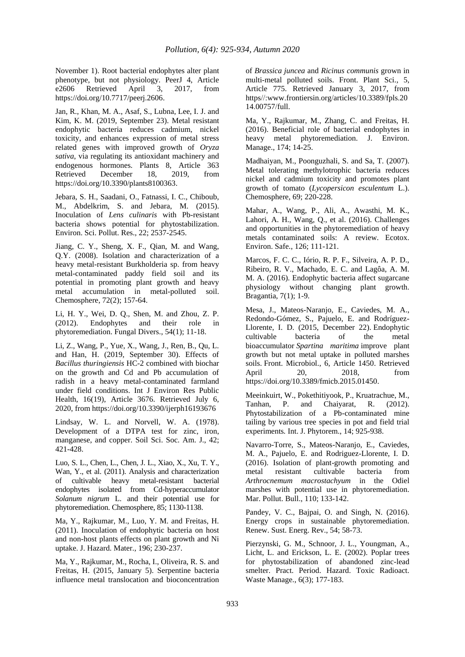November 1). Root bacterial endophytes alter plant phenotype, but not physiology. PeerJ 4, Article e2606 Retrieved April 3, 2017, from https://doi.org/10.7717/peerj.2606.

Jan, R., Khan, M. A., Asaf, S., Lubna, Lee, I. J. and Kim, K. M. (2019, September 23). Metal resistant endophytic bacteria reduces cadmium, nickel toxicity, and enhances expression of metal stress related genes with improved growth of *Oryza sativa*, via regulating its antioxidant machinery and endogenous hormones. Plants 8, Article 363 Retrieved December 18, 2019, from https://doi.org/10.3390/plants8100363.

Jebara, S. H., Saadani, O., Fatnassi, I. C., Chiboub, M., Abdelkrim, S. and Jebara, M. (2015). Inoculation of *Lens culinaris* with Pb-resistant bacteria shows potential for phytostabilization. Environ. Sci. Pollut. Res., 22; 2537-2545.

Jiang, C. Y., Sheng, X. F., Qian, M. and Wang, Q.Y. (2008). Isolation and characterization of a heavy metal-resistant Burkholderia sp. from heavy metal-contaminated paddy field soil and its potential in promoting plant growth and heavy metal accumulation in metal-polluted soil. Chemosphere, 72(2); 157-64.

Li, H. Y., Wei, D. Q., Shen, M. and Zhou, Z. P. (2012). Endophytes and their role in phytoremediation. Fungal Divers., 54(1); 11-18.

Li, Z., Wang, P., Yue, X., Wang, J., Ren, B., Qu, L. and Han, H. (2019, September 30). Effects of *Bacillus thuringiensis* HC-2 combined with biochar on the growth and Cd and Pb accumulation of radish in a heavy metal-contaminated farmland under field conditions. Int J Environ Res Public Health, 16(19), Article 3676. Retrieved July 6, 2020, from https://doi.org/10.3390/ijerph16193676

Lindsay, W. L. and Norvell, W. A. (1978). Development of a DTPA test for zinc, iron, manganese, and copper. Soil Sci. Soc. Am. J., 42; 421-428.

Luo, S. L., Chen, L., Chen, J. L., Xiao, X., Xu, T. Y., Wan, Y., et al. (2011). Analysis and characterization of cultivable heavy metal-resistant bacterial endophytes isolated from Cd-hyperaccumulator *Solanum nigrum* L. and their potential use for phytoremediation. Chemosphere, 85; 1130-1138.

Ma, Y., Rajkumar, M., Luo, Y. M. and Freitas, H. (2011). Inoculation of endophytic bacteria on host and non-host plants effects on plant growth and Ni uptake. J. Hazard. Mater., 196; 230-237.

Ma, Y., Rajkumar, M., Rocha, I., Oliveira, R. S. and Freitas, H. (2015, January 5). Serpentine bacteria influence metal translocation and bioconcentration of *Brassica juncea* and *Ricinus communis* grown in multi-metal polluted soils. Front. Plant Sci., 5, Article 775. Retrieved January 3, 2017, from https//:www.frontiersin.org/articles/10.3389/fpls.20 14.00757/full.

Ma, Y., Rajkumar, M., Zhang, C. and Freitas, H. (2016). Beneficial role of bacterial endophytes in heavy metal phytoremediation. J. Environ. Manage., 174; 14-25.

Madhaiyan, M., Poonguzhali, S. and Sa, T. (2007). Metal tolerating methylotrophic bacteria reduces nickel and cadmium toxicity and promotes plant growth of tomato (*Lycopersicon esculentum* L.). Chemosphere, 69; 220-228.

Mahar, A., Wang, P., Ali, A., Awasthi, M. K., Lahori, A. H., Wang, Q., et al. (2016). Challenges and opportunities in the phytoremediation of heavy metals contaminated soils: A review. Ecotox. Environ. Safe., 126; 111-121.

Marcos, F. C. C., Iório, R. P. F., Silveira, A. P. D., Ribeiro, R. V., Machado, E. C. and Lagôa, A. M. M. A. (2016). Endophytic bacteria affect sugarcane physiology without changing plant growth. Bragantia, 7(1); 1-9.

Mesa, J., Mateos-Naranjo, E., Caviedes, M. A., Redondo-Gómez, S., Pajuelo, E. and Rodríguez-Llorente, I. D. (2015, December 22). Endophytic cultivable bacteria of the metal bioaccumulator *Spartina maritima* improve plant growth but not metal uptake in polluted marshes soils. Front. Microbiol., 6, Article 1450. Retrieved April 20, 2018, from https://doi.org/10.3389/fmicb.2015.01450.

Meeinkuirt, W., Pokethitiyook, P., Kruatrachue, M., Tanhan, P. and Chaiyarat, R. (2012). Phytostabilization of a Pb-contaminated mine tailing by various tree species in pot and field trial experiments*.* Int. J. Phytorem., 14; 925-938.

Navarro-Torre, S., Mateos-Naranjo, E., Caviedes, M. A., Pajuelo, E. and Rodriguez-Llorente, I. D. (2016). Isolation of plant-growth promoting and metal resistant cultivable bacteria from *Arthrocnemum macrostachyum* in the Odiel marshes with potential use in phytoremediation. Mar. Pollut. Bull., 110; 133-142.

Pandey, V. C., Bajpai, O. and Singh, N. (2016). Energy crops in sustainable phytoremediation. Renew. Sust. Energ. Rev., 54; 58-73.

Pierzynski, G. M., Schnoor, J. L., Youngman, A., Licht, L. and Erickson, L. E. (2002). Poplar trees for phytostabilization of abandoned zinc-lead smelter. Pract. Period. Hazard. Toxic Radioact. Waste Manage., 6(3); 177-183.